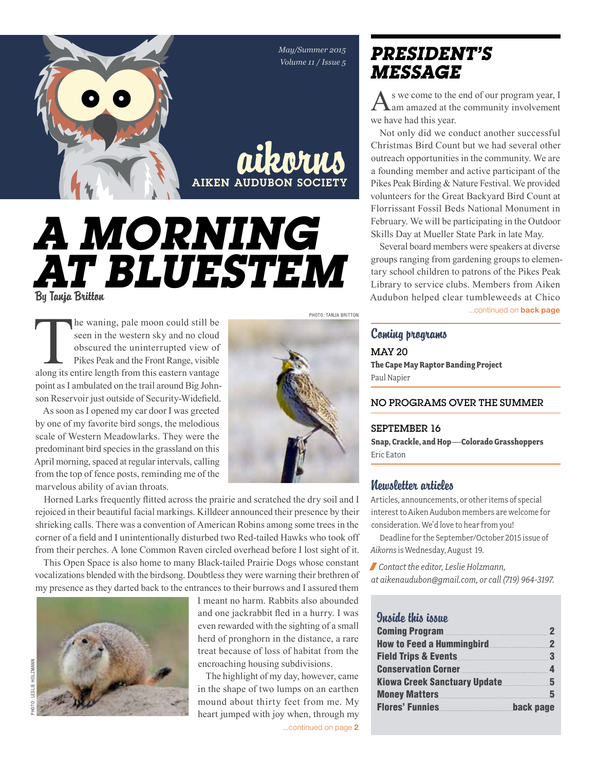*May/Summer 2015 Volume 11 / Issue 5*

aikorns

**AIKEN AUDUBON SOCIE** 

# *A Morning*  By Tanja Britton *at Bluestem*

The waning, pale moon could still be seen in the western sky and no cloud obscured the uninterrupted view of Pikes Peak and the Front Range, visible along its entire length from this eastern vantage seen in the western sky and no cloud obscured the uninterrupted view of Pikes Peak and the Front Range, visible point as I ambulated on the trail around Big Johnson Reservoir just outside of Security-Widefield.

As soon as I opened my car door I was greeted by one of my favorite bird songs, the melodious scale of Western Meadowlarks. They were the predominant bird species in the grassland on this April morning, spaced at regular intervals, calling from the top of fence posts, reminding me of the marvelous ability of avian throats.



Horned Larks frequently flitted across the prairie and scratched the dry soil and I rejoiced in their beautiful facial markings. Killdeer announced their presence by their shrieking calls. There was a convention of American Robins among some trees in the corner of a field and I unintentionally disturbed two Red-tailed Hawks who took off from their perches. A lone Common Raven circled overhead before I lost sight of it.

This Open Space is also home to many Black-tailed Prairie Dogs whose constant vocalizations blended with the birdsong. Doubtless they were warning their brethren of my presence as they darted back to the entrances to their burrows and I assured them



I meant no harm. Rabbits also abounded and one jackrabbit fled in a hurry. I was even rewarded with the sighting of a small herd of pronghorn in the distance, a rare treat because of loss of habitat from the encroaching housing subdivisions.

The highlight of my day, however, came in the shape of two lumps on an earthen mound about thirty feet from me. My heart jumped with joy when, through my ...continued on page 2

# *president's message*

s we come to the end of our program year, I am amazed at the community involvement we have had this year.

Not only did we conduct another successful Christmas Bird Count but we had several other outreach opportunities in the community. We are a founding member and active participant of the Pikes Peak Birding & Nature Festival. We provided volunteers for the Great Backyard Bird Count at Florrissant Fossil Beds National Monument in February. We will be participating in the Outdoor Skills Day at Mueller State Park in late May.

Several board members were speakers at diverse groups ranging from gardening groups to elementary school children to patrons of the Pikes Peak Library to service clubs. Members from Aiken Audubon helped clear tumbleweeds at Chico

...continued on **back page** 

## Coming programs

May 20 **The Cape May Raptor Banding Project** Paul Napier

#### No programs over the summer

#### September 16

**Snap, Crackle, and Hop—Colorado Grasshoppers** Eric Eaton

### Newsletter articles

Articles, announcements, or other items of special interest to Aiken Audubon members are welcome for consideration. We'd love to hear from you!

Deadline for the September/October 2015 issue of *Aikorns* is Wednesday, August 19.

/ *Contact the editor, Leslie Holzmann, at aikenaudubon@gmail.com, or call (719) 964-3197.*

### Inside this issue

| 2                                     |
|---------------------------------------|
| $\mathbf{2}$                          |
| $\sim$ 3                              |
| Conservation Corner <b>Election</b> 4 |
| 5                                     |
| 5                                     |
| back page                             |
|                                       |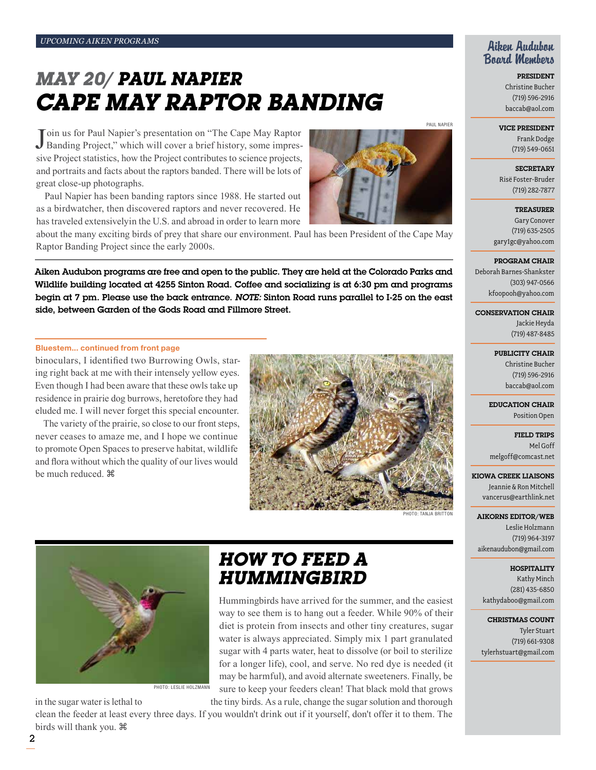# *May 20/ Paul Napier Cape May Raptor Banding*

Join us for Paul Napier's presentation on "The Cape May Raptor Banding Project," which will cover a brief history, some impresoin us for Paul Napier's presentation on "The Cape May Raptor sive Project statistics, how the Project contributes to science projects, and portraits and facts about the raptors banded. There will be lots of great close-up photographs.

Paul Napier has been banding raptors since 1988. He started out as a birdwatcher, then discovered raptors and never recovered. He has traveled extensivelyin the U.S. and abroad in order to learn more

about the many exciting birds of prey that share our environment. Paul has been President of the Cape May Raptor Banding Project since the early 2000s.

Aiken Audubon programs are free and open to the public. They are held at the Colorado Parks and Wildlife building located at 4255 Sinton Road. Coffee and socializing is at 6:30 pm and programs begin at 7 pm. Please use the back entrance. *Note:* Sinton Road runs parallel to I-25 on the east side, between Garden of the Gods Road and Fillmore Street.

#### Bluestem... continued from front page

binoculars, I identified two Burrowing Owls, staring right back at me with their intensely yellow eyes. Even though I had been aware that these owls take up residence in prairie dog burrows, heretofore they had eluded me. I will never forget this special encounter.

The variety of the prairie, so close to our front steps, never ceases to amaze me, and I hope we continue to promote Open Spaces to preserve habitat, wildlife and flora without which the quality of our lives would be much reduced.  $\mathcal{H}$ 





Photo: leslie holzmann

# *how to feed a hummingbird*

Hummingbirds have arrived for the summer, and the easiest way to see them is to hang out a feeder. While 90% of their diet is protein from insects and other tiny creatures, sugar water is always appreciated. Simply mix 1 part granulated sugar with 4 parts water, heat to dissolve (or boil to sterilize for a longer life), cool, and serve. No red dye is needed (it may be harmful), and avoid alternate sweeteners. Finally, be sure to keep your feeders clean! That black mold that grows

in the sugar water is lethal to the tiny birds. As a rule, change the sugar solution and thorough

clean the feeder at least every three days. If you wouldn't drink out if it yourself, don't offer it to them. The birds will thank you.



### Aiken Audubon Board Members

President Christine Bucher (719) 596-2916 baccab@aol.com

#### Vice President

Frank Dodge (719) 549-0651

**SECRETARY** Risë Foster-Bruder (719) 282-7877

Treasurer Gary Conover (719) 635-2505 gary1gc@yahoo.com

#### Program Chair

Deborah Barnes-Shankster (303) 947-0566 kfoopooh@yahoo.com

Conservation Chair

Jackie Heyda (719) 487-8485

#### PUBLICITY CHAIR

Christine Bucher (719) 596-2916 baccab@aol.com

Education Chair Position Open

Field Trips Mel Goff melgoff@comcast.net

Kiowa Creek Liaisons Jeannie & Ron Mitchell vancerus@earthlink.net

Aikorns Editor/Web Leslie Holzmann (719) 964-3197 aikenaudubon@gmail.com

PHOTO: TANJA BRITTO

**HOSPITALITY** Kathy Minch (281) 435-6850 kathydaboo@gmail.com

Christmas Count Tyler Stuart (719) 661-9308 tylerhstuart@gmail.com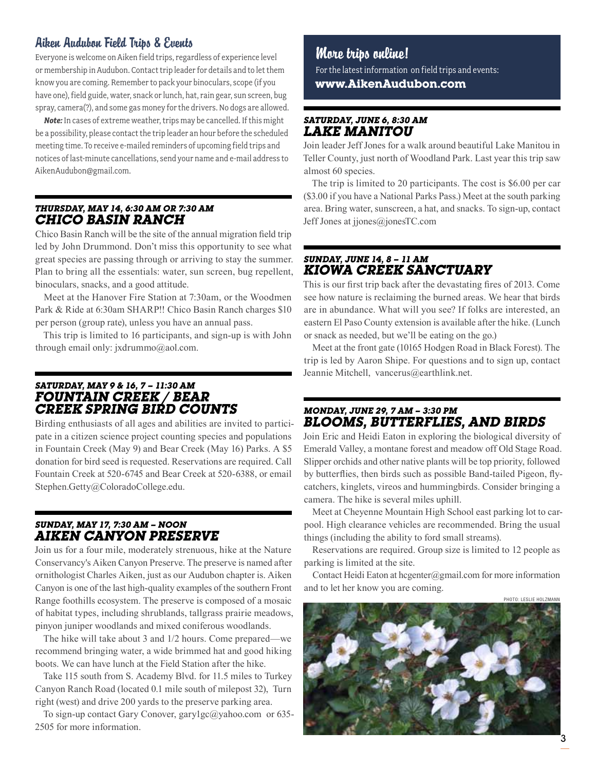## Aiken Audubon Field Trips & Events

Everyone is welcome on Aiken field trips, regardless of experience level or membership in Audubon. Contact trip leader for details and to let them know you are coming. Remember to pack your binoculars, scope (if you have one), field guide, water, snack or lunch, hat, rain gear, sun screen, bug spray, camera(?), and some gas money for the drivers. No dogs are allowed.

*Note:* In cases of extreme weather, trips may be cancelled. If this might be a possibility, please contact the trip leader an hour before the scheduled meeting time. To receive e-mailed reminders of upcoming field trips and notices of last-minute cancellations, send your name and e-mail address to AikenAudubon@gmail.com.

#### *Thursday, May 14, 6:30 am or 7:30 am Chico Basin Ranch*

Chico Basin Ranch will be the site of the annual migration field trip led by John Drummond. Don't miss this opportunity to see what great species are passing through or arriving to stay the summer. Plan to bring all the essentials: water, sun screen, bug repellent, binoculars, snacks, and a good attitude.

Meet at the Hanover Fire Station at 7:30am, or the Woodmen Park & Ride at 6:30am SHARP!! Chico Basin Ranch charges \$10 per person (group rate), unless you have an annual pass.

This trip is limited to 16 participants, and sign-up is with John through email only: jxdrummo@aol.com.

### *Saturday, May 9 & 16, 7 – 11:30 am Fountain Creek / Bear Creek Spring Bird Counts*

Birding enthusiasts of all ages and abilities are invited to participate in a citizen science project counting species and populations in Fountain Creek (May 9) and Bear Creek (May 16) Parks. A \$5 donation for bird seed is requested. Reservations are required. Call Fountain Creek at 520-6745 and Bear Creek at 520-6388, or email Stephen.Getty@ColoradoCollege.edu.

#### *Sunday, May 17, 7:30 am – noon Aiken Canyon Preserve*

Join us for a four mile, moderately strenuous, hike at the Nature Conservancy's Aiken Canyon Preserve. The preserve is named after ornithologist Charles Aiken, just as our Audubon chapter is. Aiken Canyon is one of the last high-quality examples of the southern Front Range foothills ecosystem. The preserve is composed of a mosaic of habitat types, including shrublands, tallgrass prairie meadows, pinyon juniper woodlands and mixed coniferous woodlands.

The hike will take about 3 and 1/2 hours. Come prepared—we recommend bringing water, a wide brimmed hat and good hiking boots. We can have lunch at the Field Station after the hike.

Take 115 south from S. Academy Blvd. for 11.5 miles to Turkey Canyon Ranch Road (located 0.1 mile south of milepost 32), Turn right (west) and drive 200 yards to the preserve parking area.

To sign-up contact Gary Conover, gary1gc@yahoo.com or 635- 2505 for more information.

## More trips online!

For the latest information on field trips and events: **www.AikenAudubon.com**

#### *Saturday, June 6, 8:30 am Lake Manitou*

Join leader Jeff Jones for a walk around beautiful Lake Manitou in Teller County, just north of Woodland Park. Last year this trip saw almost 60 species.

The trip is limited to 20 participants. The cost is \$6.00 per car (\$3.00 if you have a National Parks Pass.) Meet at the south parking area. Bring water, sunscreen, a hat, and snacks. To sign-up, contact Jeff Jones at jjones@jonesTC.com

#### *Sunday, June 14, 8 – 11 am Kiowa Creek Sanctuary*

This is our first trip back after the devastating fires of 2013. Come see how nature is reclaiming the burned areas. We hear that birds are in abundance. What will you see? If folks are interested, an eastern El Paso County extension is available after the hike. (Lunch or snack as needed, but we'll be eating on the go.)

Meet at the front gate (10165 Hodgen Road in Black Forest). The trip is led by Aaron Shipe. For questions and to sign up, contact Jeannie Mitchell, vancerus@earthlink.net.

#### *Monday, June 29, 7 am – 3:30 pm Blooms, Butterflies, and Birds*

Join Eric and Heidi Eaton in exploring the biological diversity of Emerald Valley, a montane forest and meadow off Old Stage Road. Slipper orchids and other native plants will be top priority, followed by butterflies, then birds such as possible Band-tailed Pigeon, flycatchers, kinglets, vireos and hummingbirds. Consider bringing a camera. The hike is several miles uphill.

Meet at Cheyenne Mountain High School east parking lot to carpool. High clearance vehicles are recommended. Bring the usual things (including the ability to ford small streams).

Reservations are required. Group size is limited to 12 people as parking is limited at the site.

Contact Heidi Eaton at hcgenter@gmail.com for more information and to let her know you are coming.

Photo: leslie holzmann

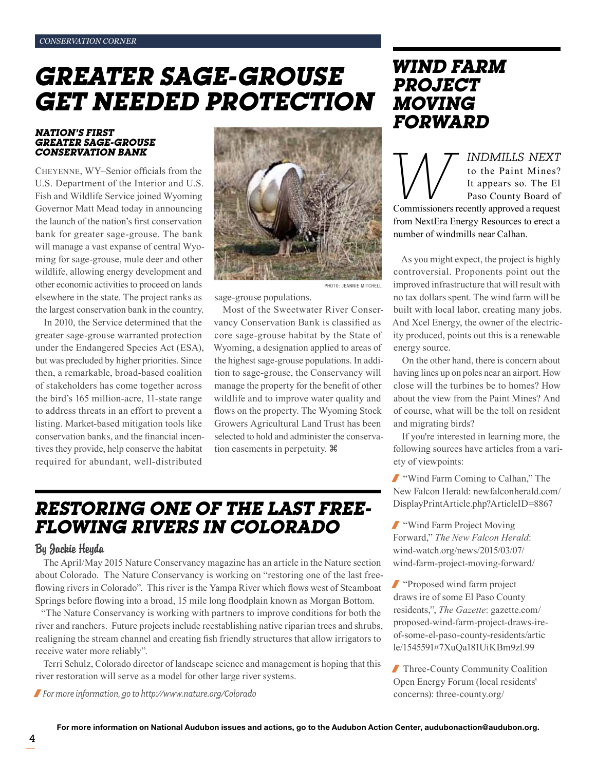# *Greater Sage-grouse get needed protection*

#### *Nation's First Greater Sage-Grouse Conservation Bank*

Cheyenne, WY–Senior officials from the U.S. Department of the Interior and U.S. Fish and Wildlife Service joined Wyoming Governor Matt Mead today in announcing the launch of the nation's first conservation bank for greater sage-grouse. The bank will manage a vast expanse of central Wyoming for sage-grouse, mule deer and other wildlife, allowing energy development and other economic activities to proceed on lands elsewhere in the state. The project ranks as the largest conservation bank in the country.

In 2010, the Service determined that the greater sage-grouse warranted protection under the Endangered Species Act (ESA), but was precluded by higher priorities. Since then, a remarkable, broad-based coalition of stakeholders has come together across the bird's 165 million-acre, 11-state range to address threats in an effort to prevent a listing. Market-based mitigation tools like conservation banks, and the financial incentives they provide, help conserve the habitat required for abundant, well-distributed



sage-grouse populations.

Most of the Sweetwater River Conservancy Conservation Bank is classified as core sage-grouse habitat by the State of Wyoming, a designation applied to areas of the highest sage-grouse populations. In addition to sage-grouse, the Conservancy will manage the property for the benefit of other wildlife and to improve water quality and flows on the property. The Wyoming Stock Growers Agricultural Land Trust has been selected to hold and administer the conservation easements in perpetuity.

# *Restoring one of the last freeflowing rivers in Colorado*

#### By Jackie Heyda

The April/May 2015 Nature Conservancy magazine has an article in the Nature section about Colorado. The Nature Conservancy is working on "restoring one of the last freeflowing rivers in Colorado". This river is the Yampa River which flows west of Steamboat Springs before flowing into a broad, 15 mile long floodplain known as Morgan Bottom.

"The Nature Conservancy is working with partners to improve conditions for both the river and ranchers. Future projects include reestablishing native riparian trees and shrubs, realigning the stream channel and creating fish friendly structures that allow irrigators to receive water more reliably".

Terri Schulz, Colorado director of landscape science and management is hoping that this river restoration will serve as a model for other large river systems.

/ *For more information, go to http://www.nature.org/Colorado*

## *Wind farm project moving forward*

**WINDMILLS NEXT**<br>to the Paint Mines?<br>It appears so. The El<br>Paso County Board of<br>Commissioners recently approved a request to the Paint Mines? It appears so. The El Paso County Board of from NextEra Energy Resources to erect a number of windmills near Calhan.

As you might expect, the project is highly controversial. Proponents point out the improved infrastructure that will result with no tax dollars spent. The wind farm will be built with local labor, creating many jobs. And Xcel Energy, the owner of the electricity produced, points out this is a renewable energy source.

On the other hand, there is concern about having lines up on poles near an airport. How close will the turbines be to homes? How about the view from the Paint Mines? And of course, what will be the toll on resident and migrating birds?

If you're interested in learning more, the following sources have articles from a variety of viewpoints:

/ "Wind Farm Coming to Calhan," The New Falcon Herald: newfalconherald.com/ DisplayPrintArticle.php?ArticleID=8867

/ "Wind Farm Project Moving Forward," *The New Falcon Herald*: wind-watch.org/news/2015/03/07/ wind-farm-project-moving-forward/

/ "Proposed wind farm project draws ire of some El Paso County residents,", *The Gazette*: gazette.com/ proposed-wind-farm-project-draws-ireof-some-el-paso-county-residents/artic le/1545591#7XuQa181UiKBm9zl.99

/ Three-County Community Coalition Open Energy Forum (local residents' concerns): three-county.org/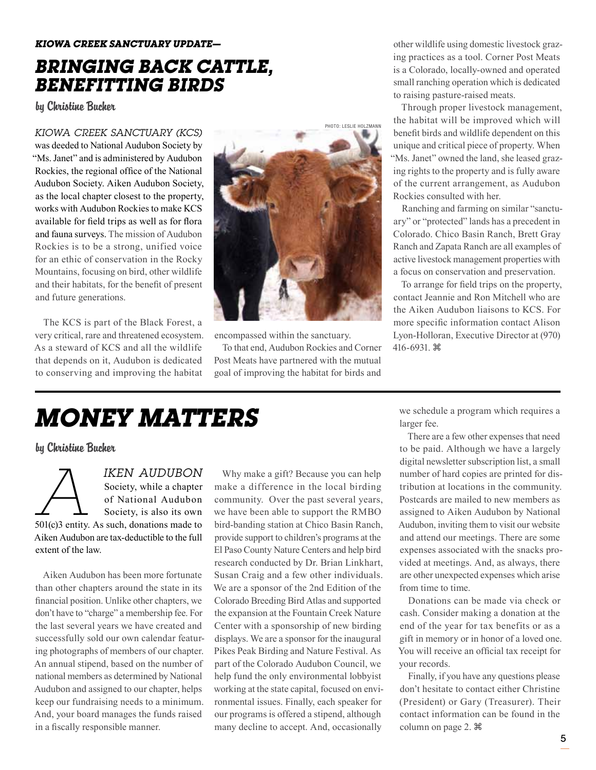## *Kiowa Creek Sanctuary UPDATE bRINGING BACK CATTLE, BENEFITTING BIRDS*

by Christine Bucher

*Kiowa Creek Sanctuary (KCS)* 

was deeded to National Audubon Society by "Ms. Janet" and is administered by Audubon Rockies, the regional office of the National Audubon Society. Aiken Audubon Society, as the local chapter closest to the property, works with Audubon Rockies to make KCS available for field trips as well as for flora and fauna surveys. The mission of Audubon Rockies is to be a strong, unified voice for an ethic of conservation in the Rocky Mountains, focusing on bird, other wildlife and their habitats, for the benefit of present and future generations.

The KCS is part of the Black Forest, a very critical, rare and threatened ecosystem. As a steward of KCS and all the wildlife that depends on it, Audubon is dedicated to conserving and improving the habitat



encompassed within the sanctuary.

To that end, Audubon Rockies and Corner Post Meats have partnered with the mutual goal of improving the habitat for birds and

other wildlife using domestic livestock grazing practices as a tool. Corner Post Meats is a Colorado, locally-owned and operated small ranching operation which is dedicated to raising pasture-raised meats.

Through proper livestock management, the habitat will be improved which will benefit birds and wildlife dependent on this unique and critical piece of property. When "Ms. Janet" owned the land, she leased grazing rights to the property and is fully aware of the current arrangement, as Audubon Rockies consulted with her.

Ranching and farming on similar "sanctuary" or "protected" lands has a precedent in Colorado. Chico Basin Ranch, Brett Gray Ranch and Zapata Ranch are all examples of active livestock management properties with a focus on conservation and preservation.

To arrange for field trips on the property, contact Jeannie and Ron Mitchell who are the Aiken Audubon liaisons to KCS. For more specific information contact Alison Lyon-Holloran, Executive Director at (970) 416-6931.

# *Money Matters*

by Christine Bucher

*IKEN AUDUBON*<br>
Society, while a chapter<br>
of National Audubon<br>
Society, is also its own<br>
501(c)3 entity. As such, donations made to Society, while a chapter of National Audubon Society, is also its own Aiken Audubon are tax-deductible to the full extent of the law.

Aiken Audubon has been more fortunate than other chapters around the state in its financial position. Unlike other chapters, we don't have to "charge" a membership fee. For the last several years we have created and successfully sold our own calendar featuring photographs of members of our chapter. An annual stipend, based on the number of national members as determined by National Audubon and assigned to our chapter, helps keep our fundraising needs to a minimum. And, your board manages the funds raised in a fiscally responsible manner.

Why make a gift? Because you can help make a difference in the local birding community. Over the past several years, we have been able to support the RMBO bird-banding station at Chico Basin Ranch, provide support to children's programs at the El Paso County Nature Centers and help bird research conducted by Dr. Brian Linkhart, Susan Craig and a few other individuals. We are a sponsor of the 2nd Edition of the Colorado Breeding Bird Atlas and supported the expansion at the Fountain Creek Nature Center with a sponsorship of new birding displays. We are a sponsor for the inaugural Pikes Peak Birding and Nature Festival. As part of the Colorado Audubon Council, we help fund the only environmental lobbyist working at the state capital, focused on environmental issues. Finally, each speaker for our programs is offered a stipend, although many decline to accept. And, occasionally

we schedule a program which requires a larger fee.

There are a few other expenses that need to be paid. Although we have a largely digital newsletter subscription list, a small number of hard copies are printed for distribution at locations in the community. Postcards are mailed to new members as assigned to Aiken Audubon by National Audubon, inviting them to visit our website and attend our meetings. There are some expenses associated with the snacks provided at meetings. And, as always, there are other unexpected expenses which arise from time to time.

Donations can be made via check or cash. Consider making a donation at the end of the year for tax benefits or as a gift in memory or in honor of a loved one. You will receive an official tax receipt for your records.

Finally, if you have any questions please don't hesitate to contact either Christine (President) or Gary (Treasurer). Their contact information can be found in the column on page 2.